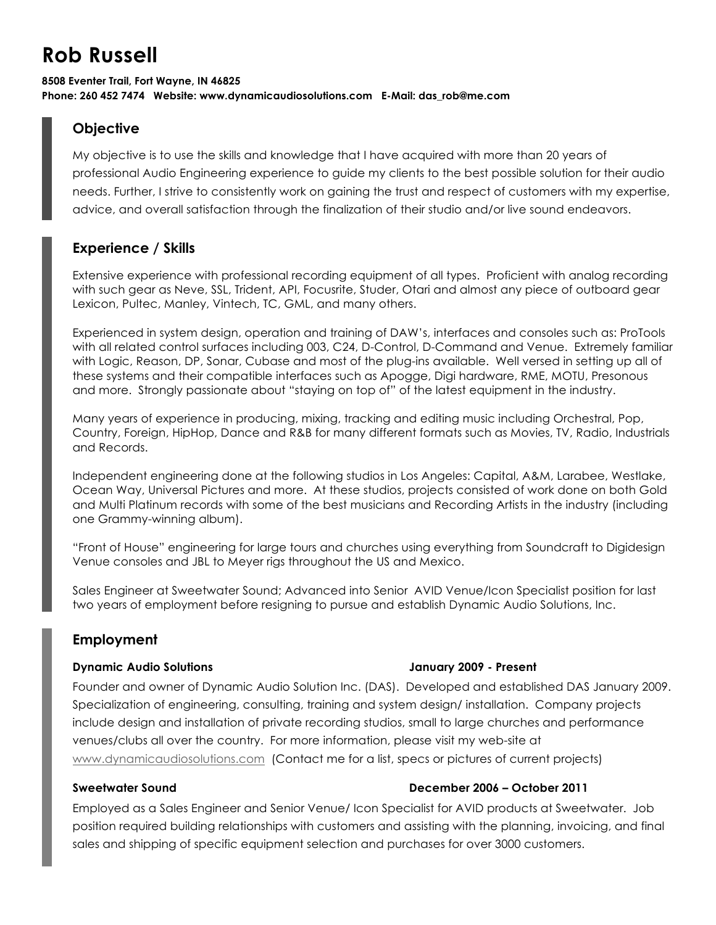# **Rob Russell**

#### **8508 Eventer Trail, Fort Wayne, IN 46825 Phone: 260 452 7474 Website: www.dynamicaudiosolutions.com E-Mail: das\_rob@me.com**

# **Objective**

My objective is to use the skills and knowledge that I have acquired with more than 20 years of professional Audio Engineering experience to guide my clients to the best possible solution for their audio needs. Further, I strive to consistently work on gaining the trust and respect of customers with my expertise, advice, and overall satisfaction through the finalization of their studio and/or live sound endeavors.

# **Experience / Skills**

Extensive experience with professional recording equipment of all types. Proficient with analog recording with such gear as Neve, SSL, Trident, API, Focusrite, Studer, Otari and almost any piece of outboard gear Lexicon, Pultec, Manley, Vintech, TC, GML, and many others.

Experienced in system design, operation and training of DAW's, interfaces and consoles such as: ProTools with all related control surfaces including 003, C24, D-Control, D-Command and Venue. Extremely familiar with Logic, Reason, DP, Sonar, Cubase and most of the plug-ins available. Well versed in setting up all of these systems and their compatible interfaces such as Apogge, Digi hardware, RME, MOTU, Presonous and more. Strongly passionate about "staying on top of" of the latest equipment in the industry.

Many years of experience in producing, mixing, tracking and editing music including Orchestral, Pop, Country, Foreign, HipHop, Dance and R&B for many different formats such as Movies, TV, Radio, Industrials and Records.

Independent engineering done at the following studios in Los Angeles: Capital, A&M, Larabee, Westlake, Ocean Way, Universal Pictures and more. At these studios, projects consisted of work done on both Gold and Multi Platinum records with some of the best musicians and Recording Artists in the industry (including one Grammy-winning album).

"Front of House" engineering for large tours and churches using everything from Soundcraft to Digidesign Venue consoles and JBL to Meyer rigs throughout the US and Mexico.

Sales Engineer at Sweetwater Sound; Advanced into Senior AVID Venue/Icon Specialist position for last two years of employment before resigning to pursue and establish Dynamic Audio Solutions, Inc.

## **Employment**

#### **Dynamic Audio Solutions January 2009 - Present**

Founder and owner of Dynamic Audio Solution Inc. (DAS). Developed and established DAS January 2009. Specialization of engineering, consulting, training and system design/ installation. Company projects include design and installation of private recording studios, small to large churches and performance venues/clubs all over the country. For more information, please visit my web-site at www.dynamicaudiosolutions.com (Contact me for a list, specs or pictures of current projects)

### **Sweetwater Sound December 2006 – October 2011**

Employed as a Sales Engineer and Senior Venue/ Icon Specialist for AVID products at Sweetwater. Job position required building relationships with customers and assisting with the planning, invoicing, and final sales and shipping of specific equipment selection and purchases for over 3000 customers.